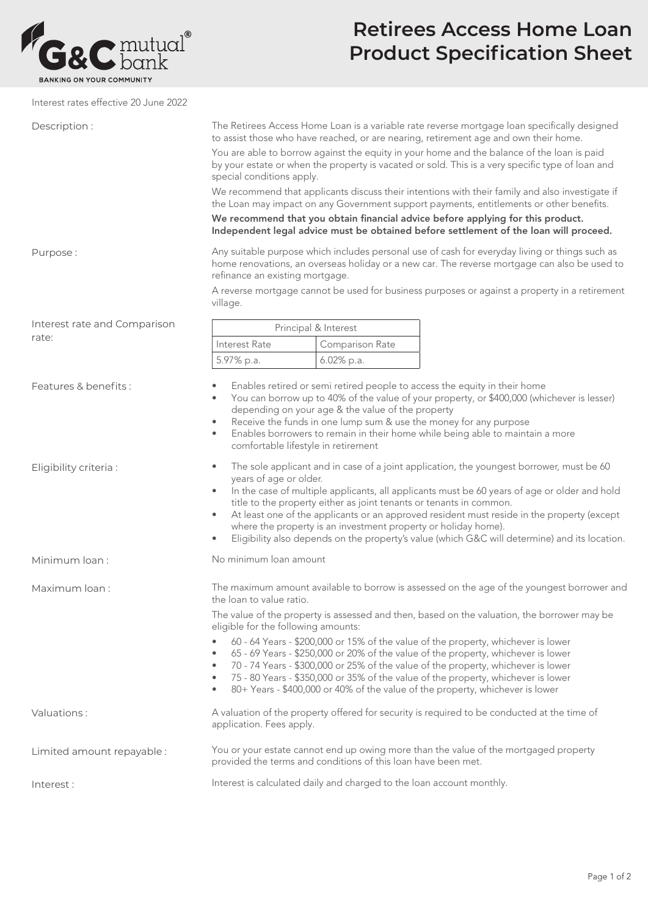

## **Retirees Access Home Loan Product Specification Sheet**

Interest rates effective 20 June 2022

| <u>INTERST LATES ENECTIVE TO JUNE TO T</u> |                                                                                                                                                                                                                                                                                                                                                                                                                                                                                                                                                                                                                |                 |  |  |
|--------------------------------------------|----------------------------------------------------------------------------------------------------------------------------------------------------------------------------------------------------------------------------------------------------------------------------------------------------------------------------------------------------------------------------------------------------------------------------------------------------------------------------------------------------------------------------------------------------------------------------------------------------------------|-----------------|--|--|
| Description:                               | The Retirees Access Home Loan is a variable rate reverse mortgage loan specifically designed<br>to assist those who have reached, or are nearing, retirement age and own their home.                                                                                                                                                                                                                                                                                                                                                                                                                           |                 |  |  |
|                                            | You are able to borrow against the equity in your home and the balance of the loan is paid<br>by your estate or when the property is vacated or sold. This is a very specific type of loan and<br>special conditions apply.                                                                                                                                                                                                                                                                                                                                                                                    |                 |  |  |
|                                            | We recommend that applicants discuss their intentions with their family and also investigate if<br>the Loan may impact on any Government support payments, entitlements or other benefits.                                                                                                                                                                                                                                                                                                                                                                                                                     |                 |  |  |
|                                            | We recommend that you obtain financial advice before applying for this product.<br>Independent legal advice must be obtained before settlement of the loan will proceed.                                                                                                                                                                                                                                                                                                                                                                                                                                       |                 |  |  |
| Purpose:                                   | Any suitable purpose which includes personal use of cash for everyday living or things such as<br>home renovations, an overseas holiday or a new car. The reverse mortgage can also be used to<br>refinance an existing mortgage.                                                                                                                                                                                                                                                                                                                                                                              |                 |  |  |
|                                            | A reverse mortgage cannot be used for business purposes or against a property in a retirement<br>village.                                                                                                                                                                                                                                                                                                                                                                                                                                                                                                      |                 |  |  |
| Interest rate and Comparison<br>rate:      | Principal & Interest                                                                                                                                                                                                                                                                                                                                                                                                                                                                                                                                                                                           |                 |  |  |
|                                            | Interest Rate                                                                                                                                                                                                                                                                                                                                                                                                                                                                                                                                                                                                  | Comparison Rate |  |  |
|                                            | 5.97% p.a.                                                                                                                                                                                                                                                                                                                                                                                                                                                                                                                                                                                                     | 6.02% p.a.      |  |  |
| Features & benefits:                       | Enables retired or semi retired people to access the equity in their home<br>You can borrow up to 40% of the value of your property, or \$400,000 (whichever is lesser)<br>depending on your age & the value of the property<br>Receive the funds in one lump sum & use the money for any purpose<br>$\bullet$<br>Enables borrowers to remain in their home while being able to maintain a more<br>$\bullet$<br>comfortable lifestyle in retirement                                                                                                                                                            |                 |  |  |
| Eligibility criteria:                      | The sole applicant and in case of a joint application, the youngest borrower, must be 60<br>$\bullet$<br>years of age or older.<br>In the case of multiple applicants, all applicants must be 60 years of age or older and hold<br>$\bullet$<br>title to the property either as joint tenants or tenants in common.<br>At least one of the applicants or an approved resident must reside in the property (except<br>$\bullet$<br>where the property is an investment property or holiday home).<br>Eligibility also depends on the property's value (which G&C will determine) and its location.<br>$\bullet$ |                 |  |  |
| Minimum loan:                              | No minimum loan amount                                                                                                                                                                                                                                                                                                                                                                                                                                                                                                                                                                                         |                 |  |  |
| Maximum loan:                              | The maximum amount available to borrow is assessed on the age of the youngest borrower and<br>the loan to value ratio.                                                                                                                                                                                                                                                                                                                                                                                                                                                                                         |                 |  |  |
|                                            | The value of the property is assessed and then, based on the valuation, the borrower may be<br>eligible for the following amounts:                                                                                                                                                                                                                                                                                                                                                                                                                                                                             |                 |  |  |
|                                            | 60 - 64 Years - \$200,000 or 15% of the value of the property, whichever is lower<br>65 - 69 Years - \$250,000 or 20% of the value of the property, whichever is lower<br>70 - 74 Years - \$300,000 or 25% of the value of the property, whichever is lower<br>75 - 80 Years - \$350,000 or 35% of the value of the property, whichever is lower<br>80+ Years - \$400,000 or 40% of the value of the property, whichever is lower<br>$\bullet$                                                                                                                                                                 |                 |  |  |
| Valuations:                                | A valuation of the property offered for security is required to be conducted at the time of<br>application. Fees apply.                                                                                                                                                                                                                                                                                                                                                                                                                                                                                        |                 |  |  |
| Limited amount repayable :                 | You or your estate cannot end up owing more than the value of the mortgaged property<br>provided the terms and conditions of this loan have been met.                                                                                                                                                                                                                                                                                                                                                                                                                                                          |                 |  |  |
| Interest:                                  | Interest is calculated daily and charged to the loan account monthly.                                                                                                                                                                                                                                                                                                                                                                                                                                                                                                                                          |                 |  |  |